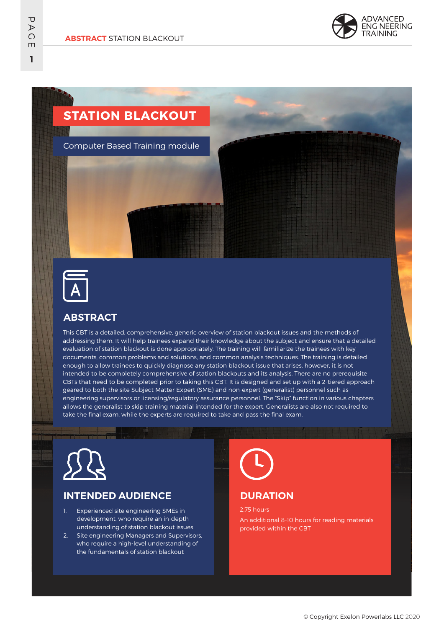

# **STATION BLACKOUT**

Computer Based Training module



## **ABSTRACT**

This CBT is a detailed, comprehensive, generic overview of station blackout issues and the methods of addressing them. It will help trainees expand their knowledge about the subject and ensure that a detailed evaluation of station blackout is done appropriately. The training will familiarize the trainees with key documents, common problems and solutions, and common analysis techniques. The training is detailed enough to allow trainees to quickly diagnose any station blackout issue that arises, however, it is not intended to be completely comprehensive of station blackouts and its analysis. There are no prerequisite CBTs that need to be completed prior to taking this CBT. It is designed and set up with a 2-tiered approach geared to both the site Subject Matter Expert (SME) and non-expert (generalist) personnel such as engineering supervisors or licensing/regulatory assurance personnel. The "Skip" function in various chapters allows the generalist to skip training material intended for the expert. Generalists are also not required to take the final exam, while the experts are required to take and pass the final exam.



## **INTENDED AUDIENCE**

- 1. Experienced site engineering SMEs in development, who require an in-depth understanding of station blackout issues
- 2. Site engineering Managers and Supervisors, who require a high-level understanding of the fundamentals of station blackout

## **DURATION**

2.75 hours An additional 8-10 hours for reading materials provided within the CBT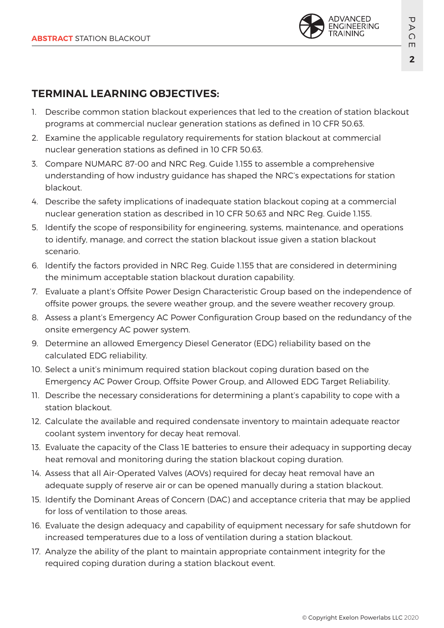

## **TERMINAL LEARNING OBJECTIVES:**

- 1. Describe common station blackout experiences that led to the creation of station blackout programs at commercial nuclear generation stations as defined in 10 CFR 50.63.
- 2. Examine the applicable regulatory requirements for station blackout at commercial nuclear generation stations as defined in 10 CFR 50.63.
- 3. Compare NUMARC 87-00 and NRC Reg. Guide 1.155 to assemble a comprehensive understanding of how industry guidance has shaped the NRC's expectations for station blackout.
- 4. Describe the safety implications of inadequate station blackout coping at a commercial nuclear generation station as described in 10 CFR 50.63 and NRC Reg. Guide 1.155.
- 5. Identify the scope of responsibility for engineering, systems, maintenance, and operations to identify, manage, and correct the station blackout issue given a station blackout scenario.
- 6. Identify the factors provided in NRC Reg. Guide 1.155 that are considered in determining the minimum acceptable station blackout duration capability.
- 7. Evaluate a plant's Offsite Power Design Characteristic Group based on the independence of offsite power groups, the severe weather group, and the severe weather recovery group.
- 8. Assess a plant's Emergency AC Power Configuration Group based on the redundancy of the onsite emergency AC power system.
- 9. Determine an allowed Emergency Diesel Generator (EDG) reliability based on the calculated EDG reliability.
- 10. Select a unit's minimum required station blackout coping duration based on the Emergency AC Power Group, Offsite Power Group, and Allowed EDG Target Reliability.
- 11. Describe the necessary considerations for determining a plant's capability to cope with a station blackout.
- 12. Calculate the available and required condensate inventory to maintain adequate reactor coolant system inventory for decay heat removal.
- 13. Evaluate the capacity of the Class 1E batteries to ensure their adequacy in supporting decay heat removal and monitoring during the station blackout coping duration.
- 14. Assess that all Air-Operated Valves (AOVs) required for decay heat removal have an adequate supply of reserve air or can be opened manually during a station blackout.
- 15. Identify the Dominant Areas of Concern (DAC) and acceptance criteria that may be applied for loss of ventilation to those areas.
- 16. Evaluate the design adequacy and capability of equipment necessary for safe shutdown for increased temperatures due to a loss of ventilation during a station blackout.
- 17. Analyze the ability of the plant to maintain appropriate containment integrity for the required coping duration during a station blackout event.